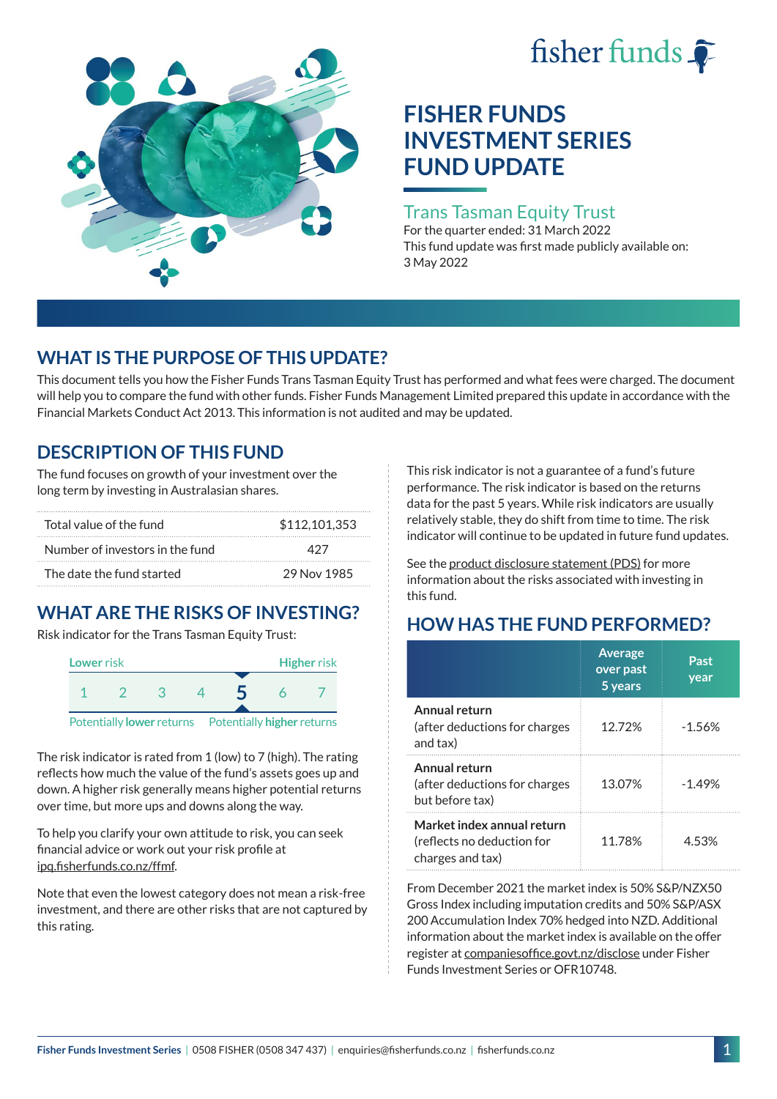



# **FISHER FUNDS INVESTMENT SERIES FUND UPDATE**

### Trans Tasman Equity Trust

For the quarter ended: 31 March 2022 This fund update was first made publicly available on: 3 May 2022

### **WHAT IS THE PURPOSE OF THIS UPDATE?**

This document tells you how the Fisher Funds Trans Tasman Equity Trust has performed and what fees were charged. The document will help you to compare the fund with other funds. Fisher Funds Management Limited prepared this update in accordance with the Financial Markets Conduct Act 2013. This information is not audited and may be updated.

## **DESCRIPTION OF THIS FUND**

The fund focuses on growth of your investment over the long term by investing in Australasian shares.

| Total value of the fund         | \$112,101,353 |  |  |
|---------------------------------|---------------|--|--|
| Number of investors in the fund | 477           |  |  |
| The date the fund started       | 29 Nov 1985   |  |  |

# **WHAT ARE THE RISKS OF INVESTING?**

Risk indicator for the Trans Tasman Equity Trust:



The risk indicator is rated from 1 (low) to 7 (high). The rating reflects how much the value of the fund's assets goes up and down. A higher risk generally means higher potential returns over time, but more ups and downs along the way.

To help you clarify your own attitude to risk, you can seek financial advice or work out your risk profile at [ipq.fisherfunds.co.nz/ffmf](https://ipq.fisherfunds.co.nz/ffmf).

Note that even the lowest category does not mean a risk-free investment, and there are other risks that are not captured by this rating.

This risk indicator is not a guarantee of a fund's future performance. The risk indicator is based on the returns data for the past 5 years. While risk indicators are usually relatively stable, they do shift from time to time. The risk indicator will continue to be updated in future fund updates.

See the [product disclosure statement \(PDS\)](https://fisherfunds.co.nz/assets/PDS/Fisher-Funds-Investment-Series-PDS.pdf) for more information about the risks associated with investing in this fund.

# **HOW HAS THE FUND PERFORMED?**

|                                                                              | <b>Average</b><br>over past<br>5 years | Past<br>year |
|------------------------------------------------------------------------------|----------------------------------------|--------------|
| Annual return<br>(after deductions for charges<br>and tax)                   | 12.72%                                 | $-1.56%$     |
| Annual return<br>(after deductions for charges<br>but before tax)            | 13.07%                                 | $-1.49%$     |
| Market index annual return<br>(reflects no deduction for<br>charges and tax) | 11.78%                                 | 4.53%        |

From December 2021 the market index is 50% S&P/NZX50 Gross Index including imputation credits and 50% S&P/ASX 200 Accumulation Index 70% hedged into NZD. Additional information about the market index is available on the offer register at [companiesoffice.govt.nz/disclose](http://companiesoffice.govt.nz/disclose) under Fisher Funds Investment Series or OFR10748.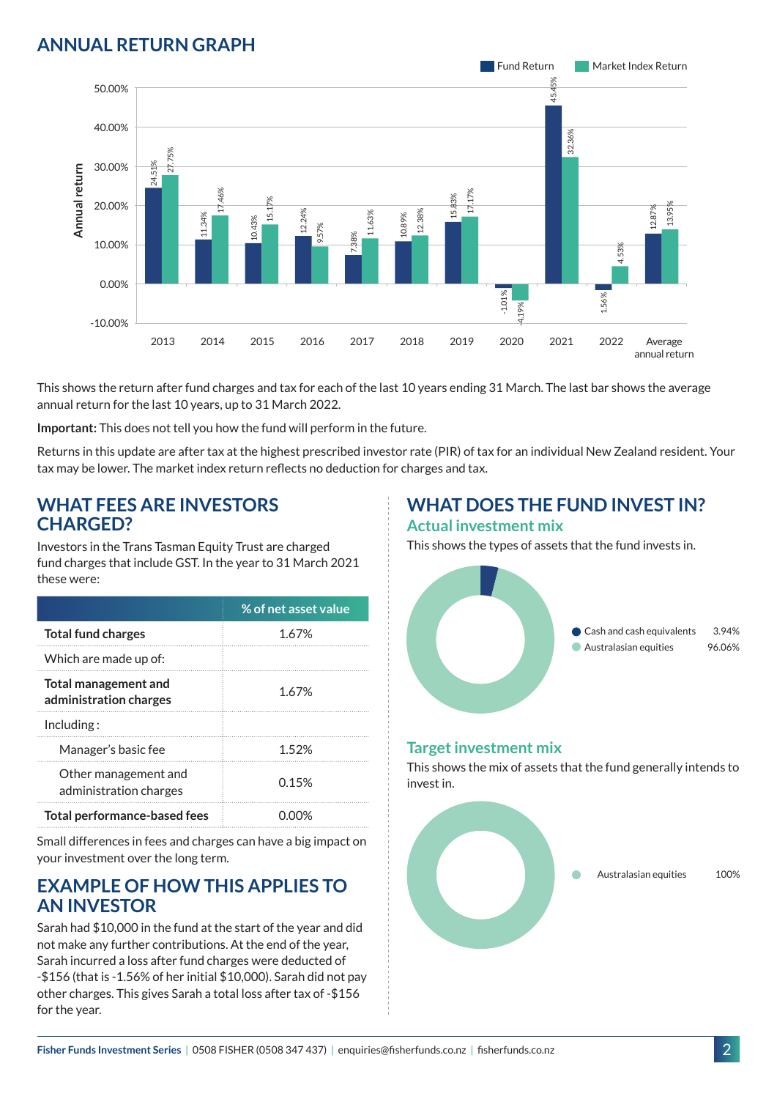### **ANNUAL RETURN GRAPH**



This shows the return after fund charges and tax for each of the last 10 years ending 31 March. The last bar shows the average annual return for the last 10 years, up to 31 March 2022.

**Important:** This does not tell you how the fund will perform in the future.

Returns in this update are after tax at the highest prescribed investor rate (PIR) of tax for an individual New Zealand resident. Your tax may be lower. The market index return reflects no deduction for charges and tax.

#### **WHAT FEES ARE INVESTORS CHARGED?**

Investors in the Trans Tasman Equity Trust are charged fund charges that include GST. In the year to 31 March 2021 these were:

|                                                       | % of net asset value |
|-------------------------------------------------------|----------------------|
| <b>Total fund charges</b>                             | 1.67%                |
| Which are made up of:                                 |                      |
| <b>Total management and</b><br>administration charges | 1.67%                |
| Inding:                                               |                      |
| Manager's basic fee                                   | 152%                 |
| Other management and<br>administration charges        | 0.15%                |
| Total performance-based fees                          |                      |

Small differences in fees and charges can have a big impact on your investment over the long term.

#### **EXAMPLE OF HOW THIS APPLIES TO AN INVESTOR**

Sarah had \$10,000 in the fund at the start of the year and did not make any further contributions. At the end of the year, Sarah incurred a loss after fund charges were deducted of -\$156 (that is -1.56% of her initial \$10,000). Sarah did not pay other charges. This gives Sarah a total loss after tax of -\$156 for the year.

#### **WHAT DOES THE FUND INVEST IN? Actual investment mix**

This shows the types of assets that the fund invests in.



#### **Target investment mix**

This shows the mix of assets that the fund generally intends to invest in.